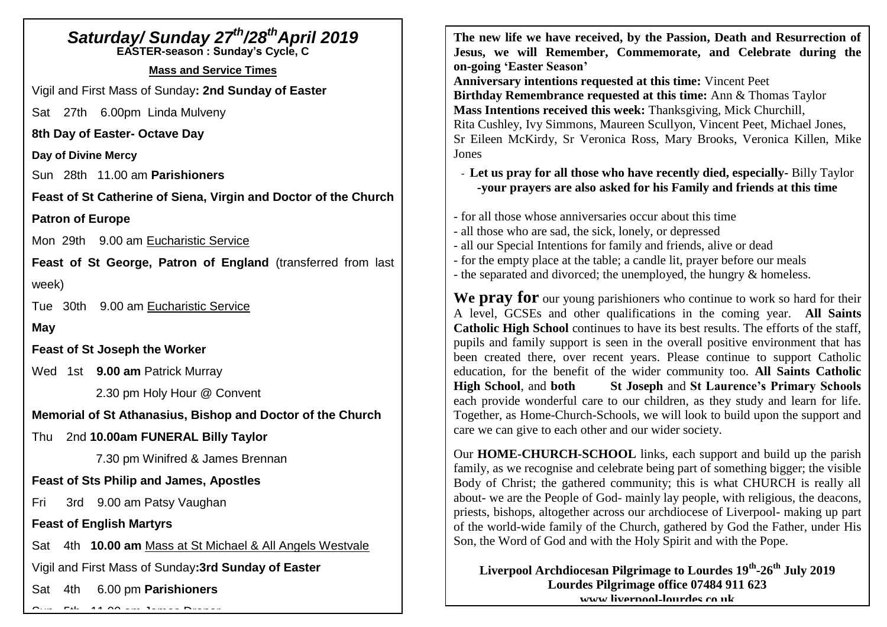# *Saturday/ Sunday 27 th/28 thApril 2019* **EASTER-season : Sunday's Cycle, C Mass and Service Times** Vigil and First Mass of Sunday**: 2nd Sunday of Easter** Sat 27th 6.00pm Linda Mulveny **8th Day of Easter- Octave Day Day of Divine Mercy** Sun 28th 11.00 am **Parishioners Feast of St Catherine of Siena, Virgin and Doctor of the Church Patron of Europe** Mon 29th 9.00 am Eucharistic Service

**Feast of St George, Patron of England** (transferred from last week)

Tue 30th 9.00 am Eucharistic Service

**May**

**Feast of St Joseph the Worker**

Wed 1st **9.00 am** Patrick Murray

2.30 pm Holy Hour @ Convent

**Memorial of St Athanasius, Bishop and Doctor of the Church**

Thu 2nd **10.00am FUNERAL Billy Taylor**

7.30 pm Winifred & James Brennan

## **Feast of Sts Philip and James, Apostles**

Fri 3rd 9.00 am Patsy Vaughan

**Feast of English Martyrs**

Sat 4th **10.00 am** Mass at St Michael & All Angels Westvale

Vigil and First Mass of Sunday**:3rd Sunday of Easter**

Sat 4th 6.00 pm **Parishioners**

Sun 5th 11.00 am James Draper

**The new life we have received, by the Passion, Death and Resurrection of Jesus, we will Remember, Commemorate, and Celebrate during the on-going 'Easter Season'**

**Anniversary intentions requested at this time:** Vincent Peet **Birthday Remembrance requested at this time:** Ann & Thomas Taylor **Mass Intentions received this week:** Thanksgiving, Mick Churchill, Rita Cushley, Ivy Simmons, Maureen Scullyon, Vincent Peet, Michael Jones, Sr Eileen McKirdy, Sr Veronica Ross, Mary Brooks, Veronica Killen, Mike Jones

# - **Let us pray for all those who have recently died, especially-** Billy Taylor **-your prayers are also asked for his Family and friends at this time**

- for all those whose anniversaries occur about this time
- all those who are sad, the sick, lonely, or depressed
- all our Special Intentions for family and friends, alive or dead
- for the empty place at the table; a candle lit, prayer before our meals
- the separated and divorced; the unemployed, the hungry & homeless.

**We pray for** our young parishioners who continue to work so hard for their A level, GCSEs and other qualifications in the coming year. **All Saints Catholic High School** continues to have its best results. The efforts of the staff, pupils and family support is seen in the overall positive environment that has been created there, over recent years. Please continue to support Catholic education, for the benefit of the wider community too. **All Saints Catholic High School.** and **both** St Joseph and St Laurence's Primary Schools each provide wonderful care to our children, as they study and learn for life. Together, as Home-Church-Schools, we will look to build upon the support and care we can give to each other and our wider society.

Our **HOME-CHURCH-SCHOOL** links, each support and build up the parish family, as we recognise and celebrate being part of something bigger; the visible Body of Christ; the gathered community; this is what CHURCH is really all about- we are the People of God- mainly lay people, with religious, the deacons, priests, bishops, altogether across our archdiocese of Liverpool- making up part of the world-wide family of the Church, gathered by God the Father, under His Son, the Word of God and with the Holy Spirit and with the Pope.

**Liverpool Archdiocesan Pilgrimage to Lourdes 19th -26th July 2019 Lourdes Pilgrimage office 07484 911 623 [www.liverpool-lourdes.co.uk](http://www.liverpool-lourdes.co.uk/)**